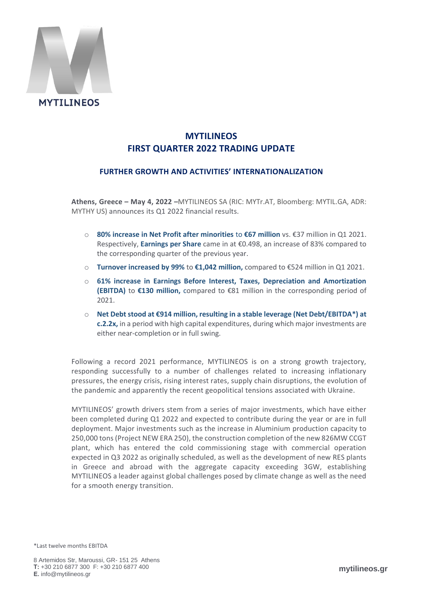

# **MYTILINEOS FIRST QUARTER 2022 TRADING UPDATE**

# **FURTHER GROWTH AND ACTIVITIES' INTERNATIONALIZATION**

**Athens, Greece – May 4, 2022 –**MYTILINEOS SA (RIC: MYTr.AT, Bloomberg: MYTIL.GA, ADR: MYTHY US) announces its Q1 2022 financial results.

- o **80% increase in Net Profit after minorities** to **€67 million** vs. €37 million in Q1 2021. Respectively, **Earnings per Share** came in at €0.498, an increase of 83% compared to the corresponding quarter of the previous year.
- o **Turnover increased by 99%** to **€1,042 million,** compared to €524 million in Q1 2021.
- o **61% increase in Earnings Before Interest, Taxes, Depreciation and Amortization (EBITDA)** to **€130 million,** compared to €81 million in the corresponding period of 2021.
- o **Net Debt stood at €914 million, resulting in a stable leverage (Net Debt/EBITDA\*) at c.2.2x,** in a period with high capital expenditures, during which major investments are either near-completion or in full swing.

Following a record 2021 performance, MYTILINEOS is on a strong growth trajectory, responding successfully to a number of challenges related to increasing inflationary pressures, the energy crisis, rising interest rates, supply chain disruptions, the evolution of the pandemic and apparently the recent geopolitical tensions associated with Ukraine.

MYTILINEOS' growth drivers stem from a series of major investments, which have either been completed during Q1 2022 and expected to contribute during the year or are in full deployment. Major investments such as the increase in Aluminium production capacity to 250,000 tons (Project NEW ERA 250), the construction completion of the new 826MW CCGT plant, which has entered the cold commissioning stage with commercial operation expected in Q3 2022 as originally scheduled, as well as the development of new RES plants in Greece and abroad with the aggregate capacity exceeding 3GW, establishing MYTILINEOS a leader against global challenges posed by climate change as well as the need for a smooth energy transition.

\*Last twelve months EBITDA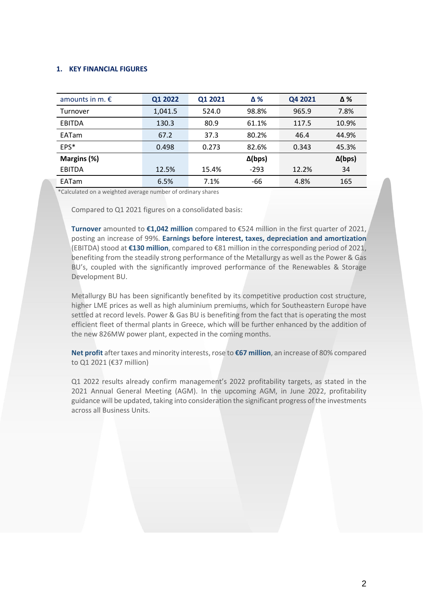## **1. KEY FINANCIAL FIGURES**

| amounts in m. $\epsilon$ | Q1 2022 | Q1 2021 | $\Delta\%$     | Q4 2021 | Δ%             |
|--------------------------|---------|---------|----------------|---------|----------------|
| Turnover                 | 1,041.5 | 524.0   | 98.8%          | 965.9   | 7.8%           |
| <b>EBITDA</b>            | 130.3   | 80.9    | 61.1%          | 117.5   | 10.9%          |
| <b>EATam</b>             | 67.2    | 37.3    | 80.2%          | 46.4    | 44.9%          |
| EPS*                     | 0.498   | 0.273   | 82.6%          | 0.343   | 45.3%          |
| Margins (%)              |         |         | $\Delta$ (bps) |         | $\Delta$ (bps) |
| <b>EBITDA</b>            | 12.5%   | 15.4%   | $-293$         | 12.2%   | 34             |
| EATam                    | 6.5%    | 7.1%    | -66            | 4.8%    | 165            |

\*Calculated on a weighted average number of ordinary shares

Compared to Q1 2021 figures on a consolidated basis:

**Turnover** amounted to **€1,042 million** compared to €524 million in the first quarter of 2021, posting an increase of 99%. **Earnings before interest, taxes, depreciation and amortization** (EBITDA) stood at **€130 million**, compared to €81 million in the corresponding period of 2021, benefiting from the steadily strong performance of the Metallurgy as well as the Power & Gas BU's, coupled with the significantly improved performance of the Renewables & Storage Development BU.

Metallurgy BU has been significantly benefited by its competitive production cost structure, higher LME prices as well as high aluminium premiums, which for Southeastern Europe have settled at record levels. Power & Gas BU is benefiting from the fact that is operating the most efficient fleet of thermal plants in Greece, which will be further enhanced by the addition of the new 826MW power plant, expected in the coming months.

**Net profit** after taxes and minority interests, rose to **€67 million**, an increase of 80% compared to Q1 2021 (€37 million)

Q1 2022 results already confirm management's 2022 profitability targets, as stated in the 2021 Annual General Meeting (AGM). In the upcoming AGM, in June 2022, profitability guidance will be updated, taking into consideration the significant progress of the investments across all Business Units.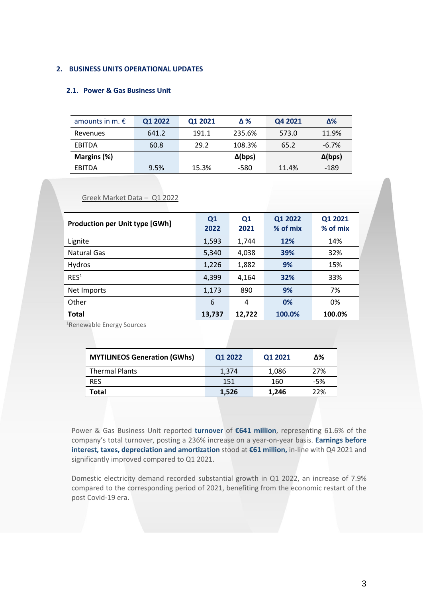## **2. BUSINESS UNITS OPERATIONAL UPDATES**

Greek Market Data – Q1 2022

## **2.1. Power & Gas Business Unit**

| amounts in m. $\epsilon$ | Q1 2022 | Q1 2021 | Δ%             | Q4 2021 | Δ%             |
|--------------------------|---------|---------|----------------|---------|----------------|
| Revenues                 | 641.2   | 191.1   | 235.6%         | 573.0   | 11.9%          |
| <b>FBITDA</b>            | 60.8    | 29.2    | 108.3%         | 65.2    | $-6.7%$        |
| Margins (%)              |         |         | $\Delta$ (bps) |         | $\Delta$ (bps) |
| <b>FBITDA</b>            | 9.5%    | 15.3%   | -580           | 11.4%   | -189           |

#### **Production per Unit type [GWh] Q1 2022 Q1 2021 Q1 2022 % of mix Q1 2021 % of mix** Lignite 1,593 1,744 **12%** 14% Natural Gas 5,340 4,038 **39%** 32% Hydros 1,226 1,882 **9%** 15% RES<sup>1</sup> 4,399 4,164 **32%** 33% Net Imports 1,173 890 **9%** 7% Other 6 4 **0%** 0% **Total 13,737 12,722 100.0% 100.0%**

<sup>1</sup>Renewable Energy Sources

| <b>MYTILINEOS Generation (GWhs)</b> | Q1 2022 | Q1 2021 | Δ%  |
|-------------------------------------|---------|---------|-----|
| <b>Thermal Plants</b>               | 1,374   | 1,086   | 27% |
| <b>RES</b>                          | 151     | 160     | -5% |
| Total                               | 1,526   | 1.246   | 22% |

Power & Gas Business Unit reported **turnover** of **€641 million**, representing 61.6% of the company's total turnover, posting a 236% increase on a year-on-year basis. **Earnings before interest, taxes, depreciation and amortization** stood at **€61 million,** in-line with Q4 2021 and significantly improved compared to Q1 2021.

Domestic electricity demand recorded substantial growth in Q1 2022, an increase of 7.9% compared to the corresponding period of 2021, benefiting from the economic restart of the post Covid-19 era.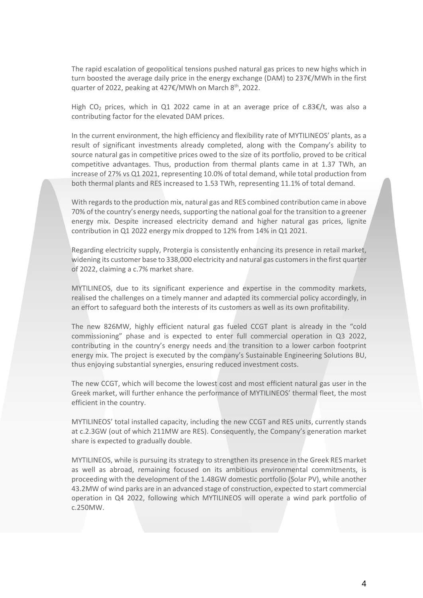The rapid escalation of geopolitical tensions pushed natural gas prices to new highs which in turn boosted the average daily price in the energy exchange (DAM) to 237€/MWh in the first quarter of 2022, peaking at 427€/MWh on March 8<sup>th</sup>, 2022.

High CO<sub>2</sub> prices, which in Q1 2022 came in at an average price of c.83  $\epsilon/t$ , was also a contributing factor for the elevated DAM prices.

In the current environment, the high efficiency and flexibility rate of MYTILINEOS' plants, as a result of significant investments already completed, along with the Company's ability to source natural gas in competitive prices owed to the size of its portfolio, proved to be critical competitive advantages. Thus, production from thermal plants came in at 1.37 TWh, an increase of 27% vs Q1 2021, representing 10.0% of total demand, while total production from both thermal plants and RES increased to 1.53 TWh, representing 11.1% of total demand.

With regards to the production mix, natural gas and RES combined contribution came in above 70% of the country's energy needs, supporting the national goal for the transition to a greener energy mix. Despite increased electricity demand and higher natural gas prices, lignite contribution in Q1 2022 energy mix dropped to 12% from 14% in Q1 2021.

Regarding electricity supply, Protergia is consistently enhancing its presence in retail market, widening its customer base to 338,000 electricity and natural gas customersin the first quarter of 2022, claiming a c.7% market share.

MYTILINEOS, due to its significant experience and expertise in the commodity markets, realised the challenges on a timely manner and adapted its commercial policy accordingly, in an effort to safeguard both the interests of its customers as well as its own profitability.

The new 826MW, highly efficient natural gas fueled CCGT plant is already in the "cold commissioning" phase and is expected to enter full commercial operation in Q3 2022, contributing in the country's energy needs and the transition to a lower carbon footprint energy mix. The project is executed by the company's Sustainable Engineering Solutions BU, thus enjoying substantial synergies, ensuring reduced investment costs.

The new CCGT, which will become the lowest cost and most efficient natural gas user in the Greek market, will further enhance the performance of MYTILINEOS' thermal fleet, the most efficient in the country.

MYTILINEOS' total installed capacity, including the new CCGT and RES units, currently stands at c.2.3GW (out of which 211MW are RES). Consequently, the Company's generation market share is expected to gradually double.

MYTILINEOS, while is pursuing its strategy to strengthen its presence in the Greek RES market as well as abroad, remaining focused on its ambitious environmental commitments, is proceeding with the development of the 1.48GW domestic portfolio (Solar PV), while another 43.2MW of wind parks are in an advanced stage of construction, expected to start commercial operation in Q4 2022, following which MYTILINEOS will operate a wind park portfolio of c.250MW.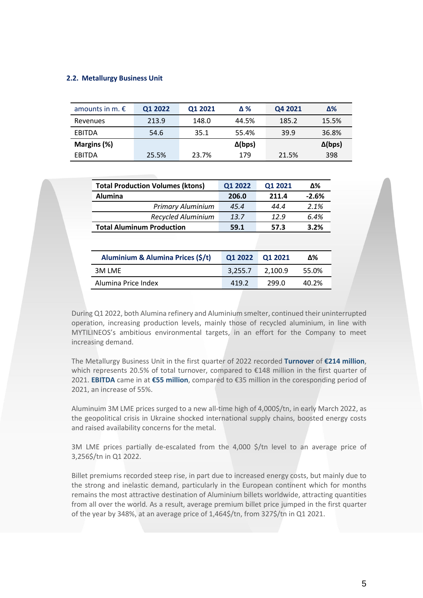## **2.2. Metallurgy Business Unit**

| amounts in m. $\epsilon$ | Q1 2022 | Q1 2021 | Δ%             | Q4 2021 | Δ%             |
|--------------------------|---------|---------|----------------|---------|----------------|
| Revenues                 | 213.9   | 148.0   | 44.5%          | 185.2   | 15.5%          |
| EBITDA                   | 54.6    | 35.1    | 55.4%          | 39.9    | 36.8%          |
| Margins (%)              |         |         | $\Delta$ (bps) |         | $\Delta$ (bps) |
| <b>FBITDA</b>            | 25.5%   | 23.7%   | 179            | 21.5%   | 398            |

| <b>Total Production Volumes (ktons)</b> | Q1 2022 | Q1 2021 | Δ%      |
|-----------------------------------------|---------|---------|---------|
| <b>Alumina</b>                          | 206.0   | 211.4   | $-2.6%$ |
| <b>Primary Aluminium</b>                | 45.4    | 44.4    | 2.1%    |
| Recycled Aluminium                      | 13.7    | 12.9    | 6.4%    |
| <b>Total Aluminum Production</b>        | 59.1    | 57.3    | 3.2%    |

| Aluminium & Alumina Prices (\$/t) | 01 2022 01 2021 |         | Δ%    |
|-----------------------------------|-----------------|---------|-------|
| 3M LME                            | 3.255.7         | 2.100.9 | 55.0% |
| Alumina Price Index               | 419.2           | 299.O   | 40.2% |

During Q1 2022, both Alumina refinery and Aluminium smelter, continued their uninterrupted operation, increasing production levels, mainly those of recycled aluminium, in line with MYTILINEOS's ambitious environmental targets, in an effort for the Company to meet increasing demand.

The Metallurgy Business Unit in the first quarter of 2022 recorded **Turnover** of **€214 million**, which represents 20.5% of total turnover, compared to €148 million in the first quarter of 2021. **EBITDA** came in at **€55 million**, compared to €35 million in the coresponding period of 2021, an increase of 55%.

Aluminuim 3M LME prices surged to a new all-time high of 4,000\$/tn, in early March 2022, as the geopolitical crisis in Ukraine shocked international supply chains, boosted energy costs and raised availability concerns for the metal.

3M LME prices partially de-escalated from the 4,000 \$/tn level to an average price of 3,256\$/tn in Q1 2022.

Billet premiums recorded steep rise, in part due to increased energy costs, but mainly due to the strong and inelastic demand, particularly in the European continent which for months remains the most attractive destination of Aluminium billets worldwide, attracting quantities from all over the world. As a result, average premium billet price jumped in the first quarter of the year by 348%, at an average price of 1,464\$/tn, from 327\$/tn in Q1 2021.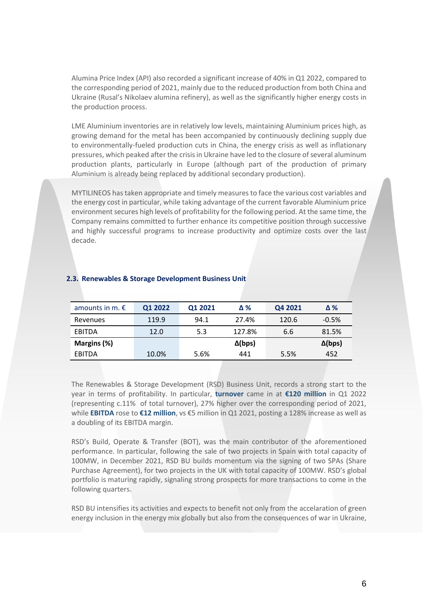Alumina Price Index (API) also recorded a significant increase of 40% in Q1 2022, compared to the corresponding period of 2021, mainly due to the reduced production from both China and Ukraine (Rusal's Nikolaev alumina refinery), as well as the significantly higher energy costs in the production process.

LME Aluminium inventories are in relatively low levels, maintaining Aluminium prices high, as growing demand for the metal has been accompanied by continuously declining supply due to environmentally-fueled production cuts in China, the energy crisis as well as inflationary pressures, which peaked after the crisis in Ukraine have led to the closure of several aluminum production plants, particularly in Europe (although part of the production of primary Aluminium is already being replaced by additional secondary production).

MYTILINEOS has taken appropriate and timely measures to face the various cost variables and the energy cost in particular, while taking advantage of the current favorable Aluminium price environment secures high levels of profitability for the following period. At the same time, the Company remains committed to further enhance its competitive position through successive and highly successful programs to increase productivity and optimize costs over the last decade.

| amounts in m. $\epsilon$ | Q1 2022 | Q1 2021 | Δ%             | Q4 2021 | $\Delta\%$     |
|--------------------------|---------|---------|----------------|---------|----------------|
| Revenues                 | 119.9   | 94.1    | 27.4%          | 120.6   | $-0.5%$        |
| EBITDA                   | 12.0    | 5.3     | 127.8%         | 6.6     | 81.5%          |
| Margins (%)              |         |         | $\Delta$ (bps) |         | $\Delta$ (bps) |
| EBITDA                   | 10.0%   | 5.6%    | 441            | 5.5%    | 452            |

## **2.3. Renewables & Storage Development Business Unit**

The Renewables & Storage Development (RSD) Business Unit, records a strong start to the year in terms of profitability. In particular, **turnover** came in at **€120 million** in Q1 2022 (representing c.11% of total turnover), 27% higher over the corresponding period of 2021, while **EBITDA** rose to **€12 million**, vs €5 million in Q1 2021, posting a 128% increase as well as a doubling of its EBITDA margin.

RSD's Build, Operate & Transfer (BOT), was the main contributor of the aforementioned performance. In particular, following the sale of two projects in Spain with total capacity of 100MW, in December 2021, RSD BU builds momentum via the signing of two SPAs (Share Purchase Agreement), for two projects in the UK with total capacity of 100MW. RSD's global portfolio is maturing rapidly, signaling strong prospects for more transactions to come in the following quarters.

RSD BU intensifies its activities and expects to benefit not only from the accelaration of green energy inclusion in the energy mix globally but also from the consequences of war in Ukraine,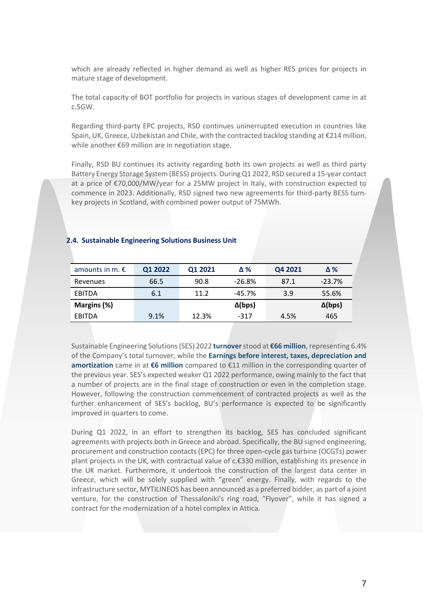which are already reflected in higher demand as well as higher RES prices for projects in mature stage of development.

The total capacity of BOT portfolio for projects in various stages of development came in at c.5GW.

Regarding third-party EPC projects, RSD continues uninerrupted execution in countries like Spain, UK, Greece, Uzbekistan and Chile, with the contracted backlog standing at €214 million, while another €69 million are in negotiation stage.

Finally, RSD BU continues its activity regarding both its own projects as well as third party Battery Energy Storage System (BESS) projects. DuringQ1 2022, RSD secured a 15-year contact at a price of €70,000/MW/year for a 25MW project in Italy, with construction expected to commence in 2023. Additionally, RSD signed two new agreements for third-party BESS turnkey projects in Scotland, with combined power output of 75MWh.

#### **2.4. Sustainable Engineering Solutions Business Unit**

| amounts in m. $\epsilon$ | Q1 2022 | Q1 2021 | Δ%             | Q4 2021 | Δ%             |
|--------------------------|---------|---------|----------------|---------|----------------|
| Revenues                 | 66.5    | 90.8    | $-26.8%$       | 87.1    | $-23.7%$       |
| EBITDA                   | 6.1     | 11.2    | $-45.7%$       | 3.9     | 55.6%          |
| Margins (%)              |         |         | $\Delta$ (bps) |         | $\Delta$ (bps) |
| EBITDA                   | 9.1%    | 12.3%   | $-317$         | 4.5%    | 465            |

Sustainable Engineering Solutions(SES) 2022 **turnover**stood at **€66 million**, representing 6.4% of the Company's total turnover, while the **Earnings before interest, taxes, depreciation and amortization** came in at **€6 million** compared to €11 million in the corresponding quarter of the previous year. SES's expected weaker Q1 2022 performance, owing mainly to the fact that a number of projects are in the final stage of construction or even in the completion stage. However, following the construction commencement of contracted projects as well as the further enhancement of SES's backlog, BU's performance is expected to be significantly improved in quarters to come.

During Q1 2022, in an effort to strengthen its backlog, SES has concluded significant agreements with projects both in Greece and abroad. Specifically, the BU signed engineering, procurement and construction contacts (EPC) for three open-cycle gas turbine (OCGTs) power plant projects in the UK, with contractual value of c.€330 million, establishing its presence in the UK market. Furthermore, it undertook the construction of the largest data center in Greece, which will be solely supplied with "green" energy. Finally, with regards to the infrastructure sector, MYTILINEOS has been announced as a preferred bidder, as part of a joint venture, for the construction of Thessaloniki's ring road, "Flyover", while it has signed a contract for the modernization of a hotel complex in Attica.